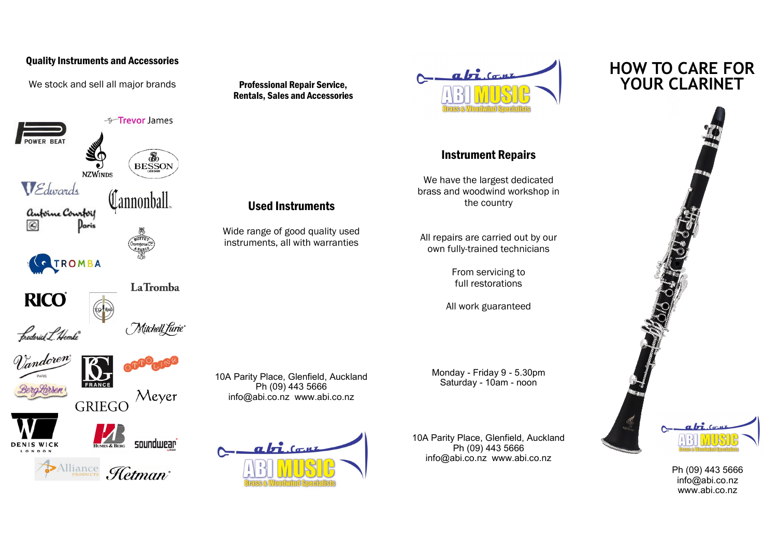## Quality Instruments and Accessories

We stock and sell all major brands



Rentals, Sales and Accessories

Used Instruments

Ph (09) 443 5666



## Instrument Repairs

We have the largest dedicated brass and woodwind workshop in the country

All repairs are carried out by our own fully-trained technicians

> From servicing to full restorations

All work guaranteed

Monday - Friday 9 - 5.30pm Saturday - 10am - noon

10A Parity Place, Glenfield, Auckland Ph (09) 443 5666 info@abi.co.nz www.abi.co.nz

## **HOW TO CARE FOR**



Ph (09) 443 5666 info@abi.co.nz www.abi.co.nz